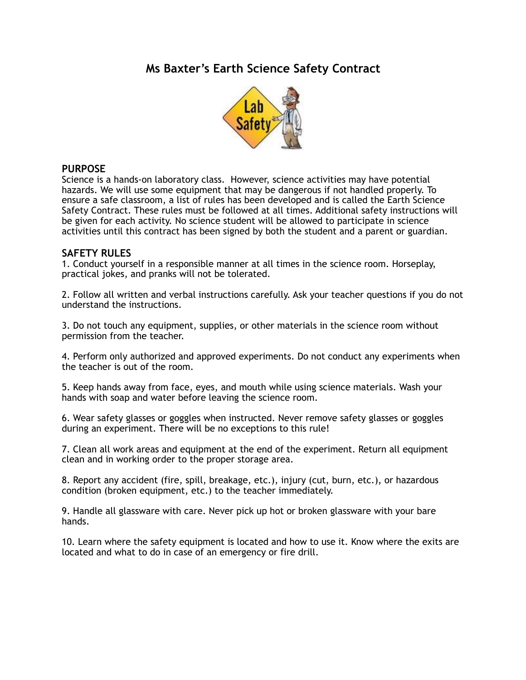## **Ms Baxter's Earth Science Safety Contract**



### **PURPOSE**

Science is a hands-on laboratory class. However, science activities may have potential hazards. We will use some equipment that may be dangerous if not handled properly. To ensure a safe classroom, a list of rules has been developed and is called the Earth Science Safety Contract. These rules must be followed at all times. Additional safety instructions will be given for each activity. No science student will be allowed to participate in science activities until this contract has been signed by both the student and a parent or guardian.

### **SAFETY RULES**

1. Conduct yourself in a responsible manner at all times in the science room. Horseplay, practical jokes, and pranks will not be tolerated.

2. Follow all written and verbal instructions carefully. Ask your teacher questions if you do not understand the instructions.

3. Do not touch any equipment, supplies, or other materials in the science room without permission from the teacher.

4. Perform only authorized and approved experiments. Do not conduct any experiments when the teacher is out of the room.

5. Keep hands away from face, eyes, and mouth while using science materials. Wash your hands with soap and water before leaving the science room.

6. Wear safety glasses or goggles when instructed. Never remove safety glasses or goggles during an experiment. There will be no exceptions to this rule!

7. Clean all work areas and equipment at the end of the experiment. Return all equipment clean and in working order to the proper storage area.

8. Report any accident (fire, spill, breakage, etc.), injury (cut, burn, etc.), or hazardous condition (broken equipment, etc.) to the teacher immediately.

9. Handle all glassware with care. Never pick up hot or broken glassware with your bare hands.

10. Learn where the safety equipment is located and how to use it. Know where the exits are located and what to do in case of an emergency or fire drill.